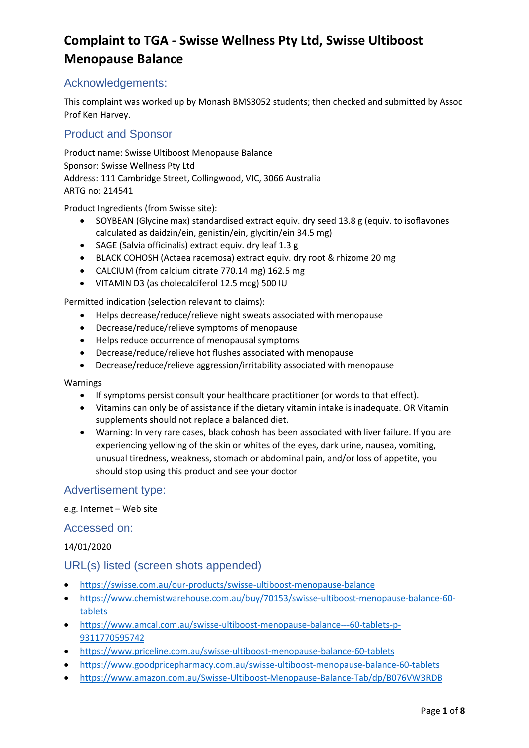## Acknowledgements:

This complaint was worked up by Monash BMS3052 students; then checked and submitted by Assoc Prof Ken Harvey.

## Product and Sponsor

Product name: Swisse Ultiboost Menopause Balance Sponsor: Swisse Wellness Pty Ltd Address: 111 Cambridge Street, Collingwood, VIC, 3066 Australia ARTG no: 214541

Product Ingredients (from Swisse site):

- SOYBEAN (Glycine max) standardised extract equiv. dry seed 13.8 g (equiv. to isoflavones calculated as daidzin/ein, genistin/ein, glycitin/ein 34.5 mg)
- SAGE (Salvia officinalis) extract equiv. dry leaf 1.3 g
- BLACK COHOSH (Actaea racemosa) extract equiv. dry root & rhizome 20 mg
- CALCIUM (from calcium citrate 770.14 mg) 162.5 mg
- VITAMIN D3 (as cholecalciferol 12.5 mcg) 500 IU

Permitted indication (selection relevant to claims):

- Helps decrease/reduce/relieve night sweats associated with menopause
- Decrease/reduce/relieve symptoms of menopause
- Helps reduce occurrence of menopausal symptoms
- Decrease/reduce/relieve hot flushes associated with menopause
- Decrease/reduce/relieve aggression/irritability associated with menopause

Warnings

- If symptoms persist consult your healthcare practitioner (or words to that effect).
- Vitamins can only be of assistance if the dietary vitamin intake is inadequate. OR Vitamin supplements should not replace a balanced diet.
- Warning: In very rare cases, black cohosh has been associated with liver failure. If you are experiencing yellowing of the skin or whites of the eyes, dark urine, nausea, vomiting, unusual tiredness, weakness, stomach or abdominal pain, and/or loss of appetite, you should stop using this product and see your doctor

## Advertisement type:

#### e.g. Internet – Web site

#### Accessed on:

14/01/2020

#### URL(s) listed (screen shots appended)

- <https://swisse.com.au/our-products/swisse-ultiboost-menopause-balance>
- [https://www.chemistwarehouse.com.au/buy/70153/swisse-ultiboost-menopause-balance-60](https://www.chemistwarehouse.com.au/buy/70153/swisse-ultiboost-menopause-balance-60-tablets) [tablets](https://www.chemistwarehouse.com.au/buy/70153/swisse-ultiboost-menopause-balance-60-tablets)
- [https://www.amcal.com.au/swisse-ultiboost-menopause-balance---60-tablets-p-](https://www.amcal.com.au/swisse-ultiboost-menopause-balance---60-tablets-p-9311770595742)[9311770595742](https://www.amcal.com.au/swisse-ultiboost-menopause-balance---60-tablets-p-9311770595742)
- <https://www.priceline.com.au/swisse-ultiboost-menopause-balance-60-tablets>
- <https://www.goodpricepharmacy.com.au/swisse-ultiboost-menopause-balance-60-tablets>
- <https://www.amazon.com.au/Swisse-Ultiboost-Menopause-Balance-Tab/dp/B076VW3RDB>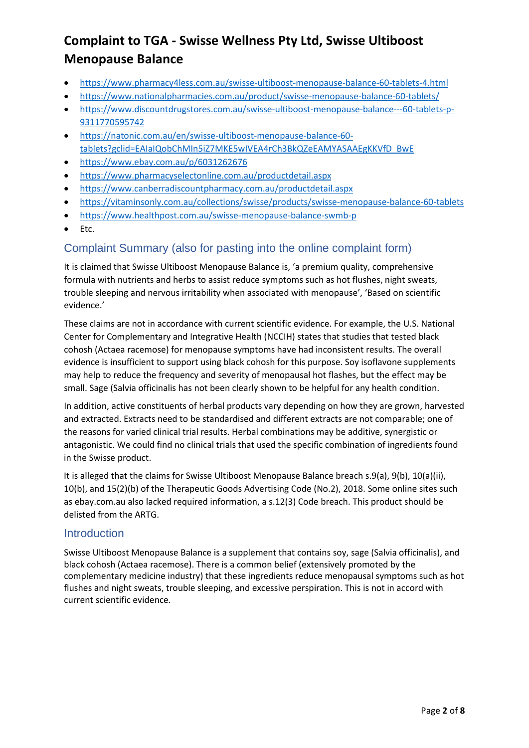- <https://www.pharmacy4less.com.au/swisse-ultiboost-menopause-balance-60-tablets-4.html>
- <https://www.nationalpharmacies.com.au/product/swisse-menopause-balance-60-tablets/>
- [https://www.discountdrugstores.com.au/swisse-ultiboost-menopause-balance---60-tablets-p-](https://www.discountdrugstores.com.au/swisse-ultiboost-menopause-balance---60-tablets-p-9311770595742)[9311770595742](https://www.discountdrugstores.com.au/swisse-ultiboost-menopause-balance---60-tablets-p-9311770595742)
- [https://natonic.com.au/en/swisse-ultiboost-menopause-balance-60](https://natonic.com.au/en/swisse-ultiboost-menopause-balance-60-tablets?gclid=EAIaIQobChMIn5iZ7MKE5wIVEA4rCh3BkQZeEAMYASAAEgKKVfD_BwE) [tablets?gclid=EAIaIQobChMIn5iZ7MKE5wIVEA4rCh3BkQZeEAMYASAAEgKKVfD\\_BwE](https://natonic.com.au/en/swisse-ultiboost-menopause-balance-60-tablets?gclid=EAIaIQobChMIn5iZ7MKE5wIVEA4rCh3BkQZeEAMYASAAEgKKVfD_BwE)
- <https://www.ebay.com.au/p/6031262676>
- [https://www.pharmacyselectonline.com.au/productdetail.aspx](https://www.pharmacyselectonline.com.au/productdetail.aspxs)
- <https://www.canberradiscountpharmacy.com.au/productdetail.aspx>
- <https://vitaminsonly.com.au/collections/swisse/products/swisse-menopause-balance-60-tablets>
- <https://www.healthpost.com.au/swisse-menopause-balance-swmb-p>
- Etc.

## Complaint Summary (also for pasting into the online complaint form)

It is claimed that Swisse Ultiboost Menopause Balance is, 'a premium quality, comprehensive formula with nutrients and herbs to assist reduce symptoms such as hot flushes, night sweats, trouble sleeping and nervous irritability when associated with menopause', 'Based on scientific evidence.'

These claims are not in accordance with current scientific evidence. For example, the U.S. National Center for Complementary and Integrative Health (NCCIH) states that studies that tested black cohosh (Actaea racemose) for menopause symptoms have had inconsistent results. The overall evidence is insufficient to support using black cohosh for this purpose. Soy isoflavone supplements may help to reduce the frequency and severity of menopausal hot flashes, but the effect may be small. Sage (Salvia officinalis has not been clearly shown to be helpful for any health condition.

In addition, active constituents of herbal products vary depending on how they are grown, harvested and extracted. Extracts need to be standardised and different extracts are not comparable; one of the reasons for varied clinical trial results. Herbal combinations may be additive, synergistic or antagonistic. We could find no clinical trials that used the specific combination of ingredients found in the Swisse product.

It is alleged that the claims for Swisse Ultiboost Menopause Balance breach s.9(a), 9(b), 10(a)(ii), 10(b), and 15(2)(b) of the Therapeutic Goods Advertising Code (No.2), 2018. Some online sites such as ebay.com.au also lacked required information, a s.12(3) Code breach. This product should be delisted from the ARTG.

## **Introduction**

Swisse Ultiboost Menopause Balance is a supplement that contains soy, sage (Salvia officinalis), and black cohosh (Actaea racemose). There is a common belief (extensively promoted by the complementary medicine industry) that these ingredients reduce menopausal symptoms such as hot flushes and night sweats, trouble sleeping, and excessive perspiration. This is not in accord with current scientific evidence.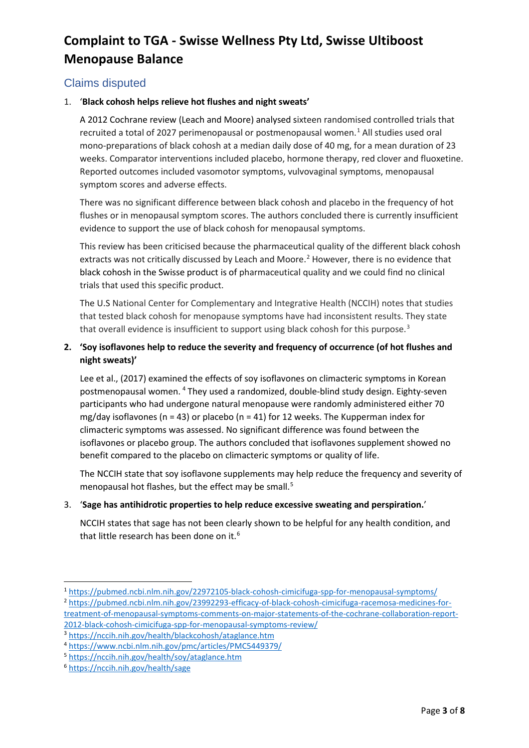## Claims disputed

#### 1. '**Black cohosh helps relieve hot flushes and night sweats'**

A 2012 Cochrane review (Leach and Moore) analysed sixteen randomised controlled trials that recruited a total of 2027 perimenopausal or postmenopausal women. $1$  All studies used oral mono-preparations of black cohosh at a median daily dose of 40 mg, for a mean duration of 23 weeks. Comparator interventions included placebo, hormone therapy, red clover and fluoxetine. Reported outcomes included vasomotor symptoms, vulvovaginal symptoms, menopausal symptom scores and adverse effects.

There was no significant difference between black cohosh and placebo in the frequency of hot flushes or in menopausal symptom scores. The authors concluded there is currently insufficient evidence to support the use of black cohosh for menopausal symptoms.

This review has been criticised because the pharmaceutical quality of the different black cohosh extracts was not critically discussed by Leach and Moore.<sup>[2](#page-2-1)</sup> However, there is no evidence that black cohosh in the Swisse product is of pharmaceutical quality and we could find no clinical trials that used this specific product.

The U.S National Center for Complementary and Integrative Health (NCCIH) notes that studies that tested black cohosh for menopause symptoms have had inconsistent results. They state that overall evidence is insufficient to support using black cohosh for this purpose.<sup>[3](#page-2-2)</sup>

#### **2. 'Soy isoflavones help to reduce the severity and frequency of occurrence (of hot flushes and night sweats)'**

Lee et al., (2017) examined the effects of soy isoflavones on climacteric symptoms in Korean postmenopausal women. [4](#page-2-3) They used a randomized, double-blind study design. Eighty-seven participants who had undergone natural menopause were randomly administered either 70 mg/day isoflavones (n = 43) or placebo (n = 41) for 12 weeks. The Kupperman index for climacteric symptoms was assessed. No significant difference was found between the isoflavones or placebo group. The authors concluded that isoflavones supplement showed no benefit compared to the placebo on climacteric symptoms or quality of life.

The NCCIH state that soy isoflavone supplements may help reduce the frequency and severity of menopausal hot flashes, but the effect may be small.<sup>[5](#page-2-4)</sup>

#### 3. '**Sage has antihidrotic properties to help reduce excessive sweating and perspiration.**'

NCCIH states that sage has not been clearly shown to be helpful for any health condition, and that little research has been done on it.<sup>[6](#page-2-5)</sup>

<span id="page-2-0"></span><sup>1</sup> <https://pubmed.ncbi.nlm.nih.gov/22972105-black-cohosh-cimicifuga-spp-for-menopausal-symptoms/>

<span id="page-2-1"></span><sup>2</sup> [https://pubmed.ncbi.nlm.nih.gov/23992293-efficacy-of-black-cohosh-cimicifuga-racemosa-medicines-for](https://pubmed.ncbi.nlm.nih.gov/23992293-efficacy-of-black-cohosh-cimicifuga-racemosa-medicines-for-treatment-of-menopausal-symptoms-comments-on-major-statements-of-the-cochrane-collaboration-report-2012-black-cohosh-cimicifuga-spp-for-menopausal-symptoms-review/)[treatment-of-menopausal-symptoms-comments-on-major-statements-of-the-cochrane-collaboration-report-](https://pubmed.ncbi.nlm.nih.gov/23992293-efficacy-of-black-cohosh-cimicifuga-racemosa-medicines-for-treatment-of-menopausal-symptoms-comments-on-major-statements-of-the-cochrane-collaboration-report-2012-black-cohosh-cimicifuga-spp-for-menopausal-symptoms-review/)[2012-black-cohosh-cimicifuga-spp-for-menopausal-symptoms-review/](https://pubmed.ncbi.nlm.nih.gov/23992293-efficacy-of-black-cohosh-cimicifuga-racemosa-medicines-for-treatment-of-menopausal-symptoms-comments-on-major-statements-of-the-cochrane-collaboration-report-2012-black-cohosh-cimicifuga-spp-for-menopausal-symptoms-review/) <sup>3</sup> <https://nccih.nih.gov/health/blackcohosh/ataglance.htm>

<span id="page-2-3"></span><span id="page-2-2"></span><sup>4</sup> <https://www.ncbi.nlm.nih.gov/pmc/articles/PMC5449379/>

<span id="page-2-4"></span><sup>5</sup> <https://nccih.nih.gov/health/soy/ataglance.htm>

<span id="page-2-5"></span><sup>6</sup> <https://nccih.nih.gov/health/sage>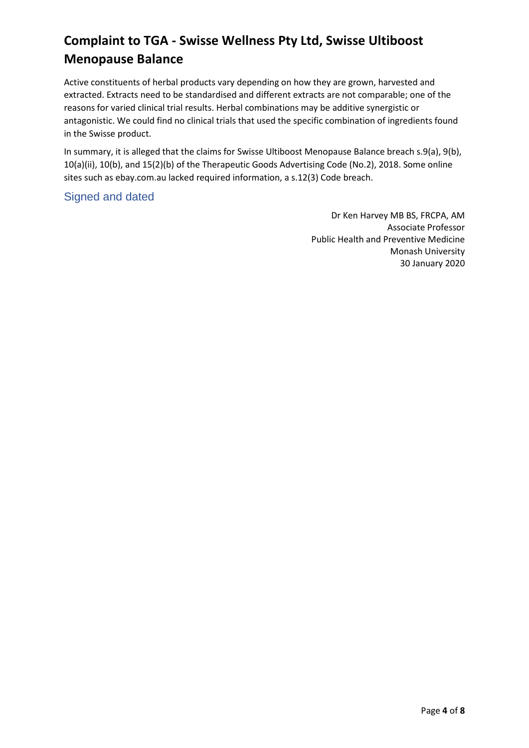Active constituents of herbal products vary depending on how they are grown, harvested and extracted. Extracts need to be standardised and different extracts are not comparable; one of the reasons for varied clinical trial results. Herbal combinations may be additive synergistic or antagonistic. We could find no clinical trials that used the specific combination of ingredients found in the Swisse product.

In summary, it is alleged that the claims for Swisse Ultiboost Menopause Balance breach s.9(a), 9(b), 10(a)(ii), 10(b), and 15(2)(b) of the Therapeutic Goods Advertising Code (No.2), 2018. Some online sites such as ebay.com.au lacked required information, a s.12(3) Code breach.

## Signed and dated

Dr Ken Harvey MB BS, FRCPA, AM Associate Professor Public Health and Preventive Medicine Monash University 30 January 2020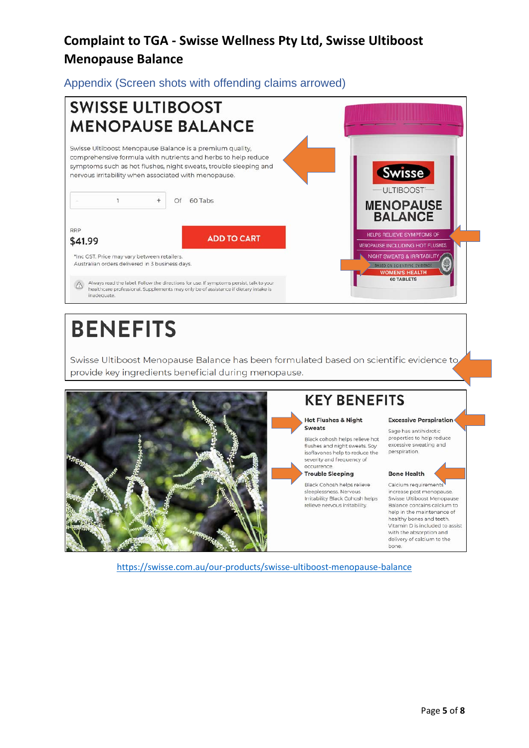Appendix (Screen shots with offending claims arrowed)



# **BENEFITS**

Swisse Ultiboost Menopause Balance has been formulated based on scientific evidence to provide key ingredients beneficial during menopause.



# **KEY BENEFITS**

**Hot Flushes & Night** Sweats

Black cohosh helps relieve hot flushes and night sweats. Soy isoflavones help to reduce the severity and frequency of occurrence

#### **Trouble Sleeping**

Black Cohosh helps relieve sleeplessness. Nervous Irritability Black Cohosh helps relieve nervous irritability.

## **Excessive Perspiration**

Sage has antihidrotic properties to help reduce excessive sweating and perspiration.

#### **Bone Health**

Calcium requirements increase post menopause Swisse Ultiboost Menopause Balance contains calcium to help in the maintenance of healthy bones and teeth. Vitamin D is included to assist with the absorption and delivery of calcium to the bone.

<https://swisse.com.au/our-products/swisse-ultiboost-menopause-balance>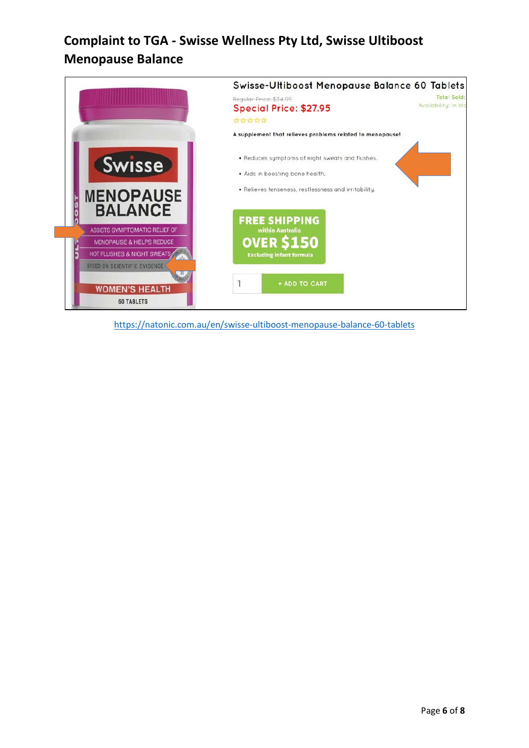

<https://natonic.com.au/en/swisse-ultiboost-menopause-balance-60-tablets>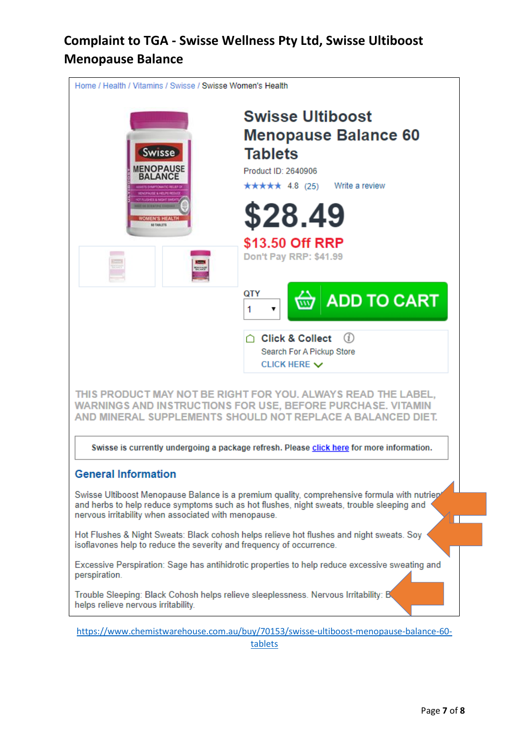

[tablets](https://www.chemistwarehouse.com.au/buy/70153/swisse-ultiboost-menopause-balance-60-tablets)